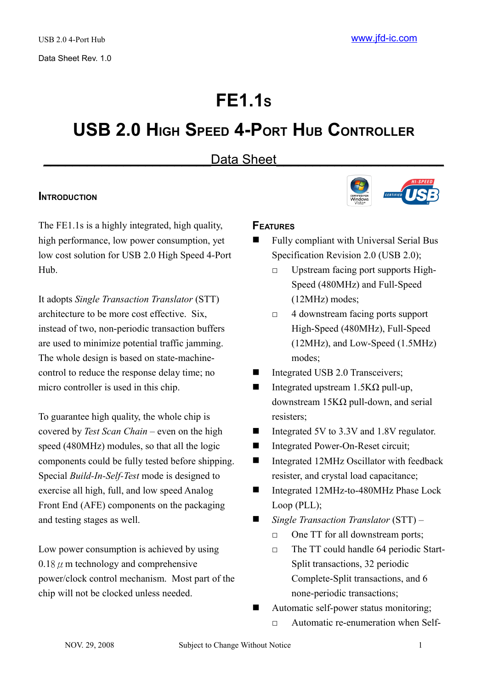# **FE1.1<sup>S</sup>**

# **USB 2.0 HIGH SPEED 4-PORT HUB CONTROLLER**

# Data Sheet

## **INTRODUCTION**

The FE1.1s is a highly integrated, high quality, high performance, low power consumption, yet low cost solution for USB 2.0 High Speed 4-Port Hub.

It adopts *Single Transaction Translator* (STT) architecture to be more cost effective. Six, instead of two, non-periodic transaction buffers are used to minimize potential traffic jamming. The whole design is based on state-machinecontrol to reduce the response delay time; no micro controller is used in this chip.

To guarantee high quality, the whole chip is covered by *Test Scan Chain* – even on the high speed (480MHz) modules, so that all the logic components could be fully tested before shipping. Special *Build-In-Self-Test* mode is designed to exercise all high, full, and low speed Analog Front End (AFE) components on the packaging and testing stages as well.

Low power consumption is achieved by using  $0.18 \mu$  m technology and comprehensive power/clock control mechanism. Most part of the chip will not be clocked unless needed.

# **FEATURES**

- Fully compliant with Universal Serial Bus Specification Revision 2.0 (USB 2.0);
	- □ Upstream facing port supports High-Speed (480MHz) and Full-Speed (12MHz) modes;
	- □ 4 downstream facing ports support High-Speed (480MHz), Full-Speed (12MHz), and Low-Speed (1.5MHz) modes;
- Integrated USB 2.0 Transceivers;
- $\blacksquare$  Integrated upstream 1.5KΩ pull-up, downstream 15KΩ pull-down, and serial resisters;
- Integrated 5V to 3.3V and 1.8V regulator.
- Integrated Power-On-Reset circuit;
- Integrated 12MHz Oscillator with feedback resister, and crystal load capacitance;
- Integrated 12MHz-to-480MHz Phase Lock Loop (PLL);
- *Single Transaction Translator* (STT)
	- □ One TT for all downstream ports;
	- □ The TT could handle 64 periodic Start-Split transactions, 32 periodic Complete-Split transactions, and 6 none-periodic transactions;
- Automatic self-power status monitoring;
	- □ Automatic re-enumeration when Self-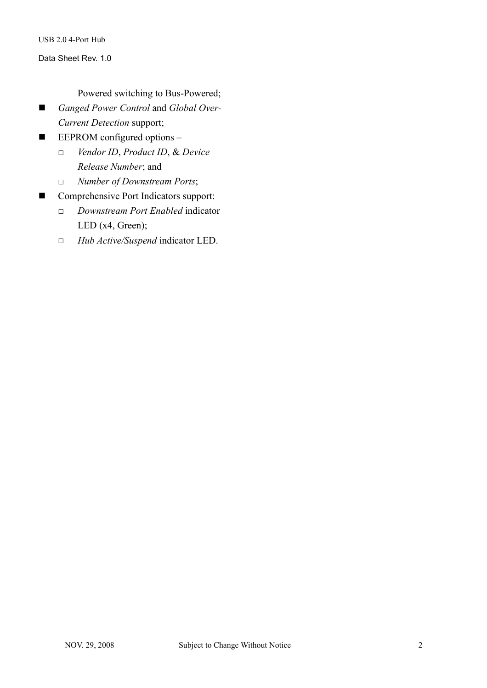#### Data Sheet Rev. 1.0

#### Powered switching to Bus-Powered;

- *Ganged Power Control and Global Over-Current Detection* support;
- **EEPROM** configured options
	- □ *Vendor ID*, *Product ID*, & *Device Release Number*; and
	- □ *Number of Downstream Ports*;
- Comprehensive Port Indicators support:
	- □ *Downstream Port Enabled* indicator LED (x4, Green);
	- □ *Hub Active/Suspend* indicator LED.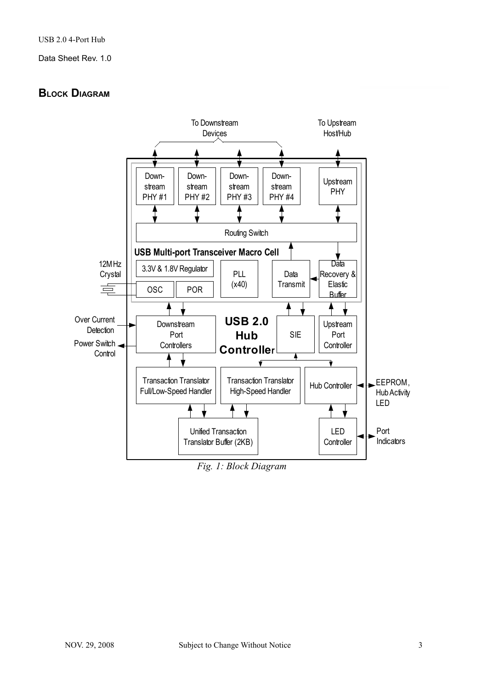# **BLOCK DIAGRAM**



*Fig. 1: Block Diagram*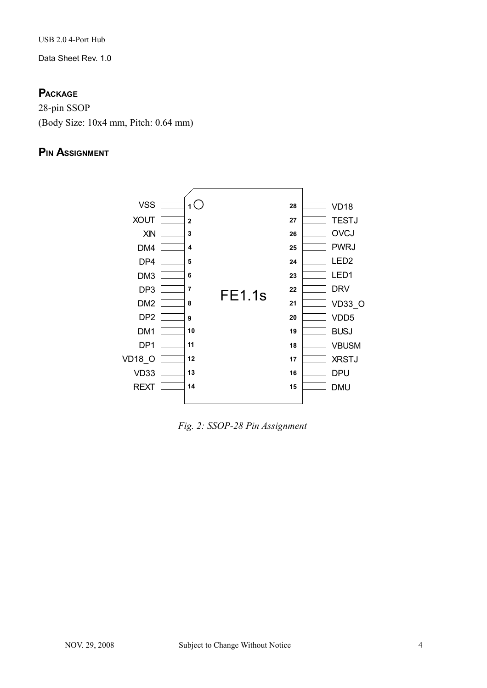Data Sheet Rev. 1.0

## **PACKAGE**

28-pin SSOP (Body Size: 10x4 mm, Pitch: 0.64 mm)

# **PIN ASSIGNMENT**



*Fig. 2: SSOP-28 Pin Assignment*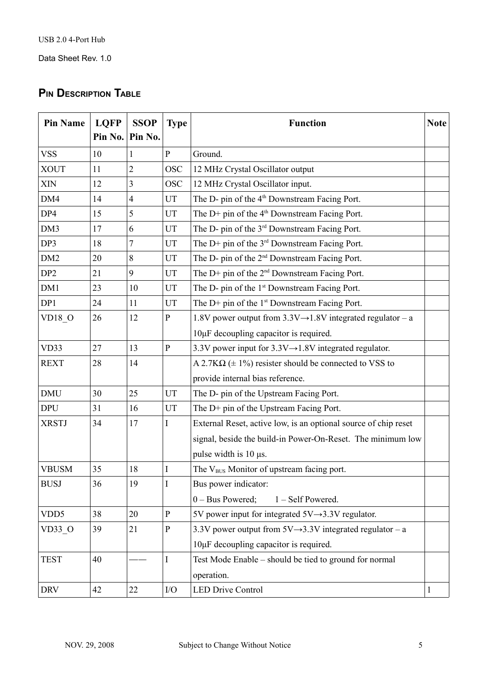# **PIN DESCRIPTION TABLE**

| <b>Pin Name</b>  | <b>LQFP</b><br>Pin No. | <b>SSOP</b><br>Pin No. | <b>Type</b>  | <b>Function</b>                                                         |  |  |  |
|------------------|------------------------|------------------------|--------------|-------------------------------------------------------------------------|--|--|--|
| <b>VSS</b>       | 10                     | 1                      | $\mathbf{P}$ | Ground.                                                                 |  |  |  |
| <b>XOUT</b>      | 11                     | $\overline{2}$         | <b>OSC</b>   | 12 MHz Crystal Oscillator output                                        |  |  |  |
| XIN              | 12                     | 3                      | <b>OSC</b>   | 12 MHz Crystal Oscillator input.                                        |  |  |  |
| DM4              | 14                     | 4                      | UT           | The D- pin of the 4 <sup>th</sup> Downstream Facing Port.               |  |  |  |
| DP4              | 15                     | 5                      | UT           | The D+ pin of the 4 <sup>th</sup> Downstream Facing Port.               |  |  |  |
| DM3              | 17                     | 6                      | UT           | The D- pin of the 3 <sup>rd</sup> Downstream Facing Port.               |  |  |  |
| DP3              | 18                     | 7                      | UT           | The D+ pin of the 3 <sup>rd</sup> Downstream Facing Port.               |  |  |  |
| DM <sub>2</sub>  | 20                     | 8                      | UT           | The D- pin of the 2 <sup>nd</sup> Downstream Facing Port.               |  |  |  |
| DP <sub>2</sub>  | 21                     | 9                      | UT           | The D+ pin of the $2nd$ Downstream Facing Port.                         |  |  |  |
| DM1              | 23                     | 10                     | UT           | The D- pin of the 1 <sup>st</sup> Downstream Facing Port.               |  |  |  |
| DP1              | 24                     | 11                     | UT           | The D+ pin of the $1st$ Downstream Facing Port.                         |  |  |  |
| <b>VD18 O</b>    | 26                     | 12                     | $\mathbf{P}$ | 1.8V power output from $3.3V \rightarrow 1.8V$ integrated regulator – a |  |  |  |
|                  |                        |                        |              | 10µF decoupling capacitor is required.                                  |  |  |  |
| VD33             | 27                     | 13                     | ${\bf P}$    | 3.3V power input for $3.3V \rightarrow 1.8V$ integrated regulator.      |  |  |  |
| <b>REXT</b>      | 28                     | 14                     |              | A 2.7K $\Omega$ ( $\pm$ 1%) resister should be connected to VSS to      |  |  |  |
|                  |                        |                        |              | provide internal bias reference.                                        |  |  |  |
| <b>DMU</b>       | 30                     | 25                     | UT           | The D- pin of the Upstream Facing Port.                                 |  |  |  |
| <b>DPU</b>       | 31                     | 16                     | UT           | The D+ pin of the Upstream Facing Port.                                 |  |  |  |
| <b>XRSTJ</b>     | 34                     | 17                     | Ι            | External Reset, active low, is an optional source of chip reset         |  |  |  |
|                  |                        |                        |              | signal, beside the build-in Power-On-Reset. The minimum low             |  |  |  |
|                  |                        |                        |              | pulse width is $10 \mu s$ .                                             |  |  |  |
| <b>VBUSM</b>     | 35                     | 18                     | I            | The V <sub>BUS</sub> Monitor of upstream facing port.                   |  |  |  |
| <b>BUSJ</b>      | 36                     | 19                     | I            | Bus power indicator:                                                    |  |  |  |
|                  |                        |                        |              | $0 - Bus$ Powered;<br>1 - Self Powered.                                 |  |  |  |
| VDD <sub>5</sub> | 38                     | 20                     | $\mathbf{P}$ | 5V power input for integrated $5V \rightarrow 3.3V$ regulator.          |  |  |  |
| VD33 O           | 39                     | 21                     | $\mathbf{P}$ | 3.3V power output from $5V \rightarrow 3.3V$ integrated regulator – a   |  |  |  |
|                  |                        |                        |              | 10µF decoupling capacitor is required.                                  |  |  |  |
| <b>TEST</b>      | 40                     |                        | $\mathbf I$  | Test Mode Enable – should be tied to ground for normal                  |  |  |  |
|                  |                        |                        |              | operation.                                                              |  |  |  |
| <b>DRV</b>       | 42                     | 22                     | ${\rm I/O}$  | <b>LED Drive Control</b>                                                |  |  |  |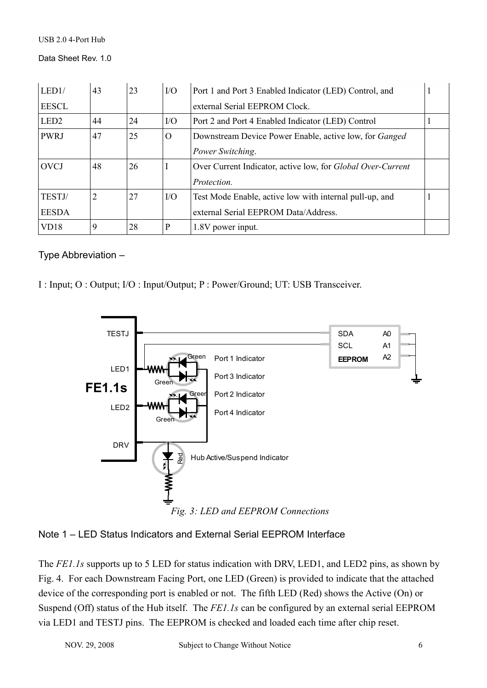Data Sheet Rev. 1.0

| LED1/            | 43 | 23 | $VO$     | Port 1 and Port 3 Enabled Indicator (LED) Control, and             |  |
|------------------|----|----|----------|--------------------------------------------------------------------|--|
| <b>EESCL</b>     |    |    |          | external Serial EEPROM Clock.                                      |  |
| LED <sub>2</sub> | 44 | 24 | I/O      | Port 2 and Port 4 Enabled Indicator (LED) Control                  |  |
| <b>PWRJ</b>      | 47 | 25 | $\Omega$ | Downstream Device Power Enable, active low, for <i>Ganged</i>      |  |
|                  |    |    |          | Power Switching.                                                   |  |
| <b>OVCJ</b>      | 48 | 26 |          | Over Current Indicator, active low, for <i>Global Over-Current</i> |  |
|                  |    |    |          | <i>Protection.</i>                                                 |  |
| TESTJ/           | 2  | 27 | $UO$     | Test Mode Enable, active low with internal pull-up, and            |  |
| <b>EESDA</b>     |    |    |          | external Serial EEPROM Data/Address.                               |  |
| VD18             | 9  | 28 | P        | 1.8V power input.                                                  |  |

## Type Abbreviation –

I : Input; O : Output; I/O : Input/Output; P : Power/Ground; UT: USB Transceiver.



Note 1 – LED Status Indicators and External Serial EEPROM Interface

The *FE1.1s* supports up to 5 LED for status indication with DRV, LED1, and LED2 pins, as shown by Fig. 4. For each Downstream Facing Port, one LED (Green) is provided to indicate that the attached device of the corresponding port is enabled or not. The fifth LED (Red) shows the Active (On) or Suspend (Off) status of the Hub itself. The *FE1.1s* can be configured by an external serial EEPROM via LED1 and TESTJ pins. The EEPROM is checked and loaded each time after chip reset.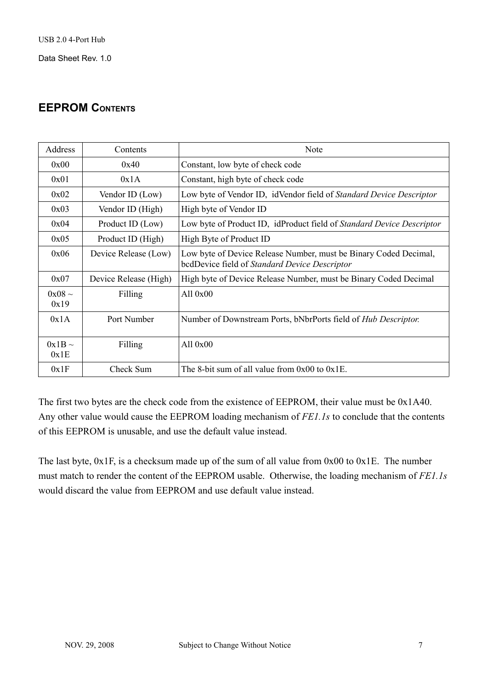# **EEPROM CONTENTS**

| Address             | Contents              | Note                                                                                                              |
|---------------------|-----------------------|-------------------------------------------------------------------------------------------------------------------|
| 0x00                | 0x40                  | Constant, low byte of check code                                                                                  |
| 0x01                | 0x1A                  | Constant, high byte of check code                                                                                 |
| 0x02                | Vendor ID (Low)       | Low byte of Vendor ID, idVendor field of Standard Device Descriptor                                               |
| 0x03                | Vendor ID (High)      | High byte of Vendor ID                                                                                            |
| 0x04                | Product ID (Low)      | Low byte of Product ID, idProduct field of Standard Device Descriptor                                             |
| 0x05                | Product ID (High)     | High Byte of Product ID                                                                                           |
| 0x06                | Device Release (Low)  | Low byte of Device Release Number, must be Binary Coded Decimal,<br>bcdDevice field of Standard Device Descriptor |
| 0x07                | Device Release (High) | High byte of Device Release Number, must be Binary Coded Decimal                                                  |
| $0x08 \sim$<br>0x19 | Filling               | All $0x00$                                                                                                        |
| 0x1A                | Port Number           | Number of Downstream Ports, bNbrPorts field of <i>Hub Descriptor</i> .                                            |
| $0x1B \sim$<br>0x1E | Filling               | All $0x00$                                                                                                        |
| 0x1F                | Check Sum             | The 8-bit sum of all value from $0x00$ to $0x1E$ .                                                                |

The first two bytes are the check code from the existence of EEPROM, their value must be 0x1A40. Any other value would cause the EEPROM loading mechanism of *FE1.1s* to conclude that the contents of this EEPROM is unusable, and use the default value instead.

The last byte, 0x1F, is a checksum made up of the sum of all value from 0x00 to 0x1E. The number must match to render the content of the EEPROM usable. Otherwise, the loading mechanism of *FE1.1s* would discard the value from EEPROM and use default value instead.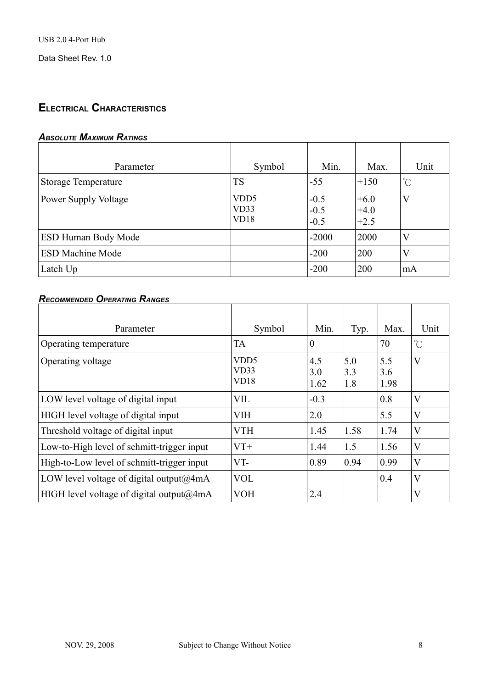# **ELECTRICAL CHARACTERISTICS**

## *ABSOLUTE MAXIMUM RATINGS*

| Parameter                   | Symbol                           | Min.                       | Max.                       | Unit         |
|-----------------------------|----------------------------------|----------------------------|----------------------------|--------------|
| <b>Storage Temperature</b>  | <b>TS</b>                        | $-55$                      | $+150$                     | $^{\circ}$ C |
| <b>Power Supply Voltage</b> | VD <sub>D5</sub><br>VD33<br>VD18 | $-0.5$<br>$-0.5$<br>$-0.5$ | $+6.0$<br>$+4.0$<br>$+2.5$ | V            |
| ESD Human Body Mode         |                                  | $-2000$                    | 2000                       | V            |
| <b>ESD Machine Mode</b>     |                                  | $-200$                     | 200                        | V            |
| Latch Up                    |                                  | $-200$                     | 200                        | mA           |

## *RECOMMENDED OPERATING RANGES*

| Parameter                                      | Symbol                           | Min.               | Typ.              | Max.               | Unit                    |
|------------------------------------------------|----------------------------------|--------------------|-------------------|--------------------|-------------------------|
| Operating temperature                          | <b>TA</b>                        | $\theta$           |                   | 70                 | $\mathrm{C}^{\circ}$    |
| Operating voltage                              | VD <sub>D5</sub><br>VD33<br>VD18 | 4.5<br>3.0<br>1.62 | 5.0<br>3.3<br>1.8 | 5.5<br>3.6<br>1.98 | $\overline{\mathsf{V}}$ |
| LOW level voltage of digital input             | <b>VIL</b>                       | $-0.3$             |                   | 0.8                | $\overline{\mathsf{V}}$ |
| HIGH level voltage of digital input            | <b>VIH</b>                       | 2.0                |                   | 5.5                | $\overline{\mathsf{V}}$ |
| Threshold voltage of digital input             | <b>VTH</b>                       | 1.45               | 1.58              | 1.74               | $\overline{\mathsf{V}}$ |
| Low-to-High level of schmitt-trigger input     | $VT+$                            | 1.44               | 1.5               | 1.56               | $\overline{\mathsf{V}}$ |
| High-to-Low level of schmitt-trigger input     | VT-                              | 0.89               | 0.94              | 0.99               | $\overline{\mathsf{V}}$ |
| LOW level voltage of digital output@4mA        | <b>VOL</b>                       |                    |                   | 0.4                | $\overline{\mathsf{V}}$ |
| HIGH level voltage of digital output $(a/4mA)$ | <b>VOH</b>                       | 2.4                |                   |                    | $\overline{\mathsf{V}}$ |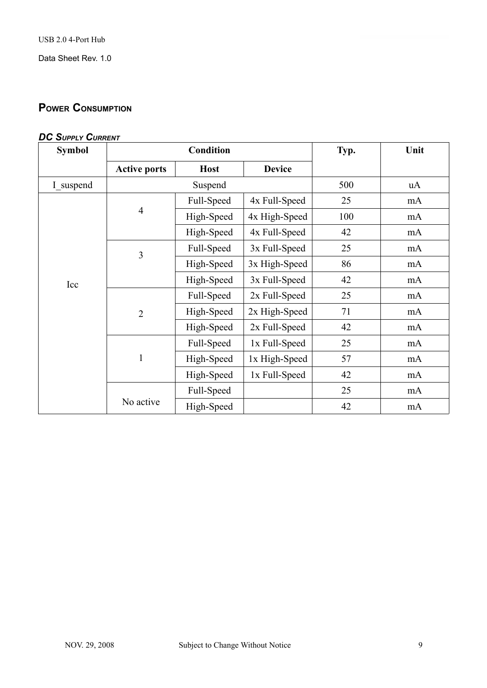# **POWER CONSUMPTION**

| <b>DC SUPPLY CURRENT</b> |
|--------------------------|
|--------------------------|

| <b>Symbol</b> |                     | <b>Condition</b> | Typ.          | Unit |    |
|---------------|---------------------|------------------|---------------|------|----|
|               | <b>Active ports</b> | <b>Host</b>      | <b>Device</b> |      |    |
| I suspend     | Suspend             |                  |               | 500  | uA |
|               |                     | Full-Speed       | 4x Full-Speed | 25   | mA |
|               | $\overline{4}$      | High-Speed       | 4x High-Speed | 100  | mA |
|               |                     | High-Speed       | 4x Full-Speed | 42   | mA |
|               | 3                   | Full-Speed       | 3x Full-Speed | 25   | mA |
|               |                     | High-Speed       | 3x High-Speed | 86   | mA |
| Icc           |                     | High-Speed       | 3x Full-Speed | 42   | mA |
|               |                     | Full-Speed       | 2x Full-Speed | 25   | mA |
|               | $\overline{2}$      | High-Speed       | 2x High-Speed | 71   | mA |
|               |                     | High-Speed       | 2x Full-Speed | 42   | mA |
|               | $\mathbf{1}$        | Full-Speed       | 1x Full-Speed | 25   | mA |
|               |                     | High-Speed       | 1x High-Speed | 57   | mA |
|               |                     | High-Speed       | 1x Full-Speed | 42   | mA |
|               |                     | Full-Speed       |               | 25   | mA |
|               | No active           | High-Speed       |               | 42   | mA |